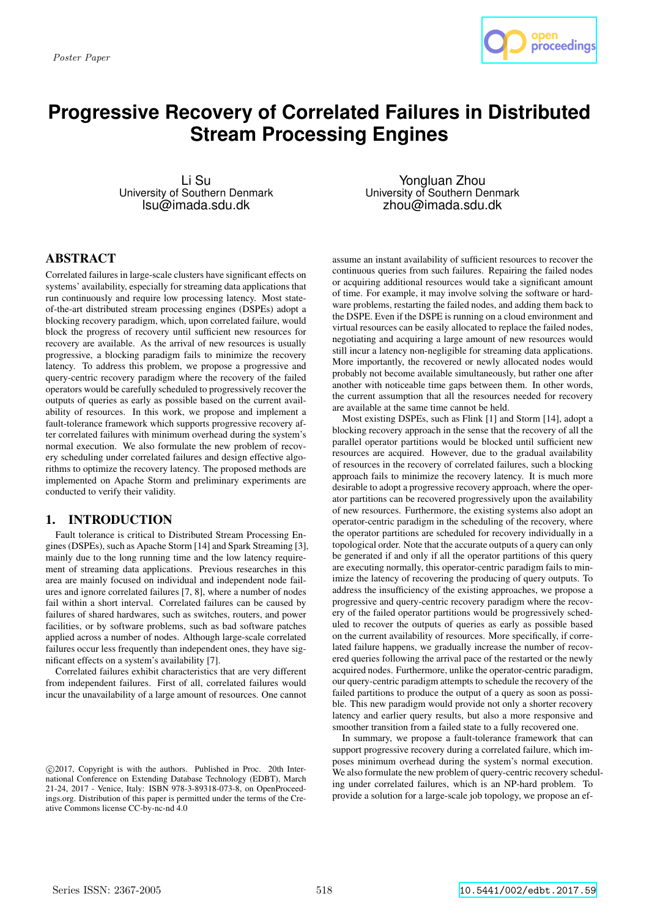

# **Progressive Recovery of Correlated Failures in Distributed Stream Processing Engines**

Li Su University of Southern Denmark lsu@imada.sdu.dk

Yongluan Zhou University of Southern Denmark zhou@imada.sdu.dk

# **ABSTRACT**

Correlated failures in large-scale clusters have significant effects on systems' availability, especially for streaming data applications that run continuously and require low processing latency. Most stateof-the-art distributed stream processing engines (DSPEs) adopt a blocking recovery paradigm, which, upon correlated failure, would block the progress of recovery until sufficient new resources for recovery are available. As the arrival of new resources is usually progressive, a blocking paradigm fails to minimize the recovery latency. To address this problem, we propose a progressive and query-centric recovery paradigm where the recovery of the failed operators would be carefully scheduled to progressively recover the outputs of queries as early as possible based on the current availability of resources. In this work, we propose and implement a fault-tolerance framework which supports progressive recovery after correlated failures with minimum overhead during the system's normal execution. We also formulate the new problem of recovery scheduling under correlated failures and design effective algorithms to optimize the recovery latency. The proposed methods are implemented on Apache Storm and preliminary experiments are conducted to verify their validity.

### 1. INTRODUCTION

Fault tolerance is critical to Distributed Stream Processing Engines (DSPEs), such as Apache Storm [14] and Spark Streaming [3], mainly due to the long running time and the low latency requirement of streaming data applications. Previous researches in this area are mainly focused on individual and independent node failures and ignore correlated failures [7, 8], where a number of nodes fail within a short interval. Correlated failures can be caused by failures of shared hardwares, such as switches, routers, and power facilities, or by software problems, such as bad software patches applied across a number of nodes. Although large-scale correlated failures occur less frequently than independent ones, they have significant effects on a system's availability [7].

Correlated failures exhibit characteristics that are very different from independent failures. First of all, correlated failures would incur the unavailability of a large amount of resources. One cannot

assume an instant availability of sufficient resources to recover the continuous queries from such failures. Repairing the failed nodes or acquiring additional resources would take a significant amount of time. For example, it may involve solving the software or hardware problems, restarting the failed nodes, and adding them back to the DSPE. Even if the DSPE is running on a cloud environment and virtual resources can be easily allocated to replace the failed nodes, negotiating and acquiring a large amount of new resources would still incur a latency non-negligible for streaming data applications. More importantly, the recovered or newly allocated nodes would probably not become available simultaneously, but rather one after another with noticeable time gaps between them. In other words, the current assumption that all the resources needed for recovery are available at the same time cannot be held.

Most existing DSPEs, such as Flink [1] and Storm [14], adopt a blocking recovery approach in the sense that the recovery of all the parallel operator partitions would be blocked until sufficient new resources are acquired. However, due to the gradual availability of resources in the recovery of correlated failures, such a blocking approach fails to minimize the recovery latency. It is much more desirable to adopt a progressive recovery approach, where the operator partitions can be recovered progressively upon the availability of new resources. Furthermore, the existing systems also adopt an operator-centric paradigm in the scheduling of the recovery, where the operator partitions are scheduled for recovery individually in a topological order. Note that the accurate outputs of a query can only be generated if and only if all the operator partitions of this query are executing normally, this operator-centric paradigm fails to minimize the latency of recovering the producing of query outputs. To address the insufficiency of the existing approaches, we propose a progressive and query-centric recovery paradigm where the recovery of the failed operator partitions would be progressively scheduled to recover the outputs of queries as early as possible based on the current availability of resources. More specifically, if correlated failure happens, we gradually increase the number of recovered queries following the arrival pace of the restarted or the newly acquired nodes. Furthermore, unlike the operator-centric paradigm, our query-centric paradigm attempts to schedule the recovery of the failed partitions to produce the output of a query as soon as possible. This new paradigm would provide not only a shorter recovery latency and earlier query results, but also a more responsive and smoother transition from a failed state to a fully recovered one.

In summary, we propose a fault-tolerance framework that can support progressive recovery during a correlated failure, which imposes minimum overhead during the system's normal execution. We also formulate the new problem of query-centric recovery scheduling under correlated failures, which is an NP-hard problem. To provide a solution for a large-scale job topology, we propose an ef-

c 2017, Copyright is with the authors. Published in Proc. 20th International Conference on Extending Database Technology (EDBT), March 21-24, 2017 - Venice, Italy: ISBN 978-3-89318-073-8, on OpenProceedings.org. Distribution of this paper is permitted under the terms of the Creative Commons license CC-by-nc-nd 4.0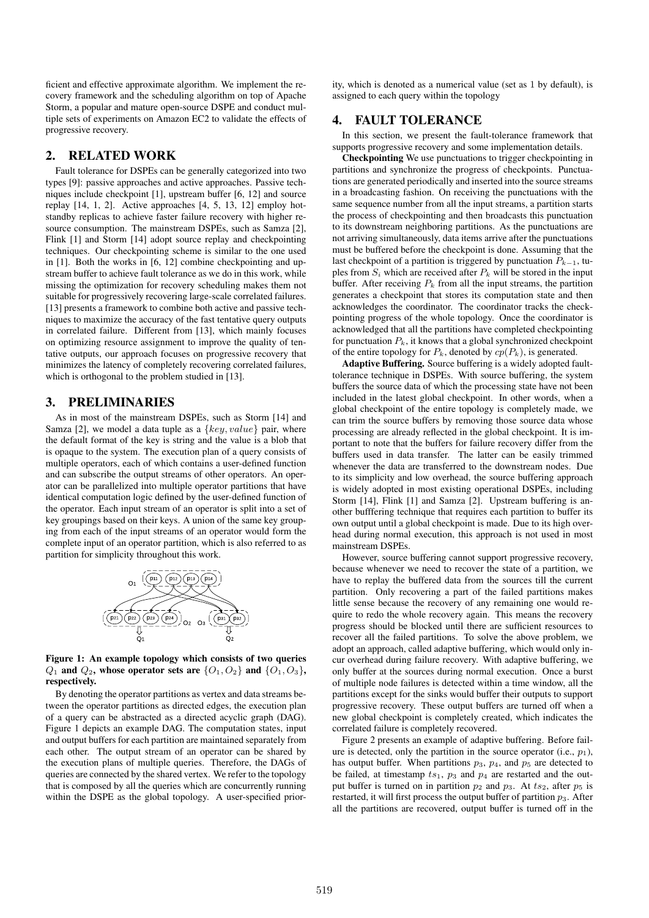ficient and effective approximate algorithm. We implement the recovery framework and the scheduling algorithm on top of Apache Storm, a popular and mature open-source DSPE and conduct multiple sets of experiments on Amazon EC2 to validate the effects of progressive recovery.

#### 2. RELATED WORK

Fault tolerance for DSPEs can be generally categorized into two types [9]: passive approaches and active approaches. Passive techniques include checkpoint [1], upstream buffer [6, 12] and source replay [14, 1, 2]. Active approaches [4, 5, 13, 12] employ hotstandby replicas to achieve faster failure recovery with higher resource consumption. The mainstream DSPEs, such as Samza [2], Flink [1] and Storm [14] adopt source replay and checkpointing techniques. Our checkpointing scheme is similar to the one used in [1]. Both the works in [6, 12] combine checkpointing and upstream buffer to achieve fault tolerance as we do in this work, while missing the optimization for recovery scheduling makes them not suitable for progressively recovering large-scale correlated failures. [13] presents a framework to combine both active and passive techniques to maximize the accuracy of the fast tentative query outputs in correlated failure. Different from [13], which mainly focuses on optimizing resource assignment to improve the quality of tentative outputs, our approach focuses on progressive recovery that minimizes the latency of completely recovering correlated failures, which is orthogonal to the problem studied in [13].

## 3. PRELIMINARIES

As in most of the mainstream DSPEs, such as Storm [14] and Samza [2], we model a data tuple as a  $\{key, value\}$  pair, where the default format of the key is string and the value is a blob that is opaque to the system. The execution plan of a query consists of multiple operators, each of which contains a user-defined function and can subscribe the output streams of other operators. An operator can be parallelized into multiple operator partitions that have identical computation logic defined by the user-defined function of the operator. Each input stream of an operator is split into a set of key groupings based on their keys. A union of the same key grouping from each of the input streams of an operator would form the complete input of an operator partition, which is also referred to as partition for simplicity throughout this work.



Figure 1: An example topology which consists of two queries  $Q_1$  and  $Q_2$ , whose operator sets are  $\{O_1, O_2\}$  and  $\{O_1, O_3\}$ , respectively.

By denoting the operator partitions as vertex and data streams between the operator partitions as directed edges, the execution plan of a query can be abstracted as a directed acyclic graph (DAG). Figure 1 depicts an example DAG. The computation states, input and output buffers for each partition are maintained separately from each other. The output stream of an operator can be shared by the execution plans of multiple queries. Therefore, the DAGs of queries are connected by the shared vertex. We refer to the topology that is composed by all the queries which are concurrently running within the DSPE as the global topology. A user-specified priority, which is denoted as a numerical value (set as 1 by default), is assigned to each query within the topology

#### 4. FAULT TOLERANCE

In this section, we present the fault-tolerance framework that supports progressive recovery and some implementation details.

Checkpointing We use punctuations to trigger checkpointing in partitions and synchronize the progress of checkpoints. Punctuations are generated periodically and inserted into the source streams in a broadcasting fashion. On receiving the punctuations with the same sequence number from all the input streams, a partition starts the process of checkpointing and then broadcasts this punctuation to its downstream neighboring partitions. As the punctuations are not arriving simultaneously, data items arrive after the punctuations must be buffered before the checkpoint is done. Assuming that the last checkpoint of a partition is triggered by punctuation  $P_{k-1}$ , tuples from  $S_i$  which are received after  $P_k$  will be stored in the input buffer. After receiving  $P_k$  from all the input streams, the partition generates a checkpoint that stores its computation state and then acknowledges the coordinator. The coordinator tracks the checkpointing progress of the whole topology. Once the coordinator is acknowledged that all the partitions have completed checkpointing for punctuation  $P_k$ , it knows that a global synchronized checkpoint of the entire topology for  $P_k$ , denoted by  $cp(P_k)$ , is generated.

Adaptive Buffering. Source buffering is a widely adopted faulttolerance technique in DSPEs. With source buffering, the system buffers the source data of which the processing state have not been included in the latest global checkpoint. In other words, when a global checkpoint of the entire topology is completely made, we can trim the source buffers by removing those source data whose processing are already reflected in the global checkpoint. It is important to note that the buffers for failure recovery differ from the buffers used in data transfer. The latter can be easily trimmed whenever the data are transferred to the downstream nodes. Due to its simplicity and low overhead, the source buffering approach is widely adopted in most existing operational DSPEs, including Storm [14], Flink [1] and Samza [2]. Upstream buffering is another bufffering technique that requires each partition to buffer its own output until a global checkpoint is made. Due to its high overhead during normal execution, this approach is not used in most mainstream DSPEs.

However, source buffering cannot support progressive recovery, because whenever we need to recover the state of a partition, we have to replay the buffered data from the sources till the current partition. Only recovering a part of the failed partitions makes little sense because the recovery of any remaining one would require to redo the whole recovery again. This means the recovery progress should be blocked until there are sufficient resources to recover all the failed partitions. To solve the above problem, we adopt an approach, called adaptive buffering, which would only incur overhead during failure recovery. With adaptive buffering, we only buffer at the sources during normal execution. Once a burst of multiple node failures is detected within a time window, all the partitions except for the sinks would buffer their outputs to support progressive recovery. These output buffers are turned off when a new global checkpoint is completely created, which indicates the correlated failure is completely recovered.

Figure 2 presents an example of adaptive buffering. Before failure is detected, only the partition in the source operator (i.e.,  $p_1$ ), has output buffer. When partitions  $p_3$ ,  $p_4$ , and  $p_5$  are detected to be failed, at timestamp  $ts_1$ ,  $p_3$  and  $p_4$  are restarted and the output buffer is turned on in partition  $p_2$  and  $p_3$ . At  $ts_2$ , after  $p_5$  is restarted, it will first process the output buffer of partition  $p_3$ . After all the partitions are recovered, output buffer is turned off in the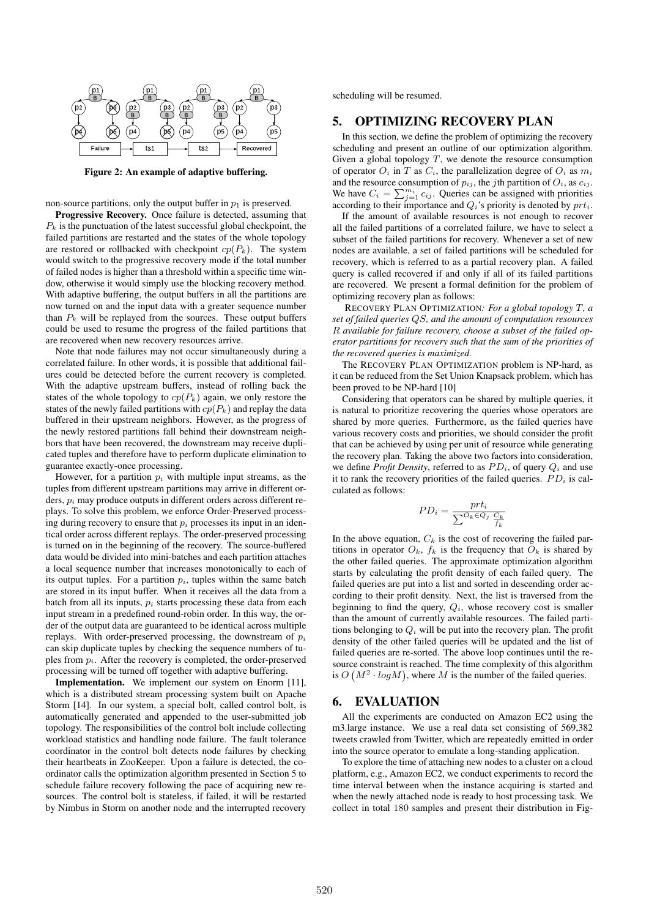

Figure 2: An example of adaptive buffering.

non-source partitions, only the output buffer in  $p_1$  is preserved.

Progressive Recovery. Once failure is detected, assuming that  $P_k$  is the punctuation of the latest successful global checkpoint, the failed partitions are restarted and the states of the whole topology are restored or rollbacked with checkpoint  $cp(P_k)$ . The system would switch to the progressive recovery mode if the total number of failed nodes is higher than a threshold within a specific time window, otherwise it would simply use the blocking recovery method. With adaptive buffering, the output buffers in all the partitions are now turned on and the input data with a greater sequence number than  $P_k$  will be replayed from the sources. These output buffers could be used to resume the progress of the failed partitions that are recovered when new recovery resources arrive.

Note that node failures may not occur simultaneously during a correlated failure. In other words, it is possible that additional failures could be detected before the current recovery is completed. With the adaptive upstream buffers, instead of rolling back the states of the whole topology to  $cp(P_k)$  again, we only restore the states of the newly failed partitions with  $cp(P_k)$  and replay the data buffered in their upstream neighbors. However, as the progress of the newly restored partitions fall behind their downstream neighbors that have been recovered, the downstream may receive duplicated tuples and therefore have to perform duplicate elimination to guarantee exactly-once processing.

However, for a partition  $p_i$  with multiple input streams, as the tuples from different upstream partitions may arrive in different orders,  $p_i$  may produce outputs in different orders across different replays. To solve this problem, we enforce Order-Preserved processing during recovery to ensure that  $p_i$  processes its input in an identical order across different replays. The order-preserved processing is turned on in the beginning of the recovery. The source-buffered data would be divided into mini-batches and each partition attaches a local sequence number that increases monotonically to each of its output tuples. For a partition  $p<sub>i</sub>$ , tuples within the same batch are stored in its input buffer. When it receives all the data from a batch from all its inputs,  $p_i$  starts processing these data from each input stream in a predefined round-robin order. In this way, the order of the output data are guaranteed to be identical across multiple replays. With order-preserved processing, the downstream of  $p_i$ can skip duplicate tuples by checking the sequence numbers of tuples from  $p_i$ . After the recovery is completed, the order-preserved processing will be turned off together with adaptive buffering.

Implementation. We implement our system on Enorm [11], which is a distributed stream processing system built on Apache Storm [14]. In our system, a special bolt, called control bolt, is automatically generated and appended to the user-submitted job topology. The responsibilities of the control bolt include collecting workload statistics and handling node failure. The fault tolerance coordinator in the control bolt detects node failures by checking their heartbeats in ZooKeeper. Upon a failure is detected, the coordinator calls the optimization algorithm presented in Section 5 to schedule failure recovery following the pace of acquiring new resources. The control bolt is stateless, if failed, it will be restarted by Nimbus in Storm on another node and the interrupted recovery

scheduling will be resumed.

#### 5. OPTIMIZING RECOVERY PLAN

In this section, we define the problem of optimizing the recovery scheduling and present an outline of our optimization algorithm. Given a global topology  $T$ , we denote the resource consumption of operator  $O_i$  in T as  $C_i$ , the parallelization degree of  $O_i$  as  $m_i$ and the resource consumption of  $p_{ij}$ , the *j*th partition of  $O_i$ , as  $c_{ij}$ . We have  $C_i = \sum_{j=1}^{m_i} c_{ij}$ . Queries can be assigned with priorities according to their importance and  $Q_i$ 's priority is denoted by  $prt_i$ .

If the amount of available resources is not enough to recover all the failed partitions of a correlated failure, we have to select a subset of the failed partitions for recovery. Whenever a set of new nodes are available, a set of failed partitions will be scheduled for recovery, which is referred to as a partial recovery plan. A failed query is called recovered if and only if all of its failed partitions are recovered. We present a formal definition for the problem of optimizing recovery plan as follows:

RECOVERY PLAN OPTIMIZATION*: For a global topology* T*, a set of failed queries* QS*, and the amount of computation resources* R *available for failure recovery, choose a subset of the failed operator partitions for recovery such that the sum of the priorities of the recovered queries is maximized.*

The RECOVERY PLAN OPTIMIZATION problem is NP-hard, as it can be reduced from the Set Union Knapsack problem, which has been proved to be NP-hard [10]

Considering that operators can be shared by multiple queries, it is natural to prioritize recovering the queries whose operators are shared by more queries. Furthermore, as the failed queries have various recovery costs and priorities, we should consider the profit that can be achieved by using per unit of resource while generating the recovery plan. Taking the above two factors into consideration, we define *Profit Density*, referred to as  $PD_i$ , of query  $Q_i$  and use it to rank the recovery priorities of the failed queries.  $PD_i$  is calculated as follows:

$$
PD_i = \frac{prt_i}{\sum_{k} O_k \in Q_j} \frac{C_k}{\frac{C_k}{f_k}}
$$

In the above equation,  $C_k$  is the cost of recovering the failed partitions in operator  $O_k$ ,  $f_k$  is the frequency that  $O_k$  is shared by the other failed queries. The approximate optimization algorithm starts by calculating the profit density of each failed query. The failed queries are put into a list and sorted in descending order according to their profit density. Next, the list is traversed from the beginning to find the query,  $Q_i$ , whose recovery cost is smaller than the amount of currently available resources. The failed partitions belonging to  $Q_i$  will be put into the recovery plan. The profit density of the other failed queries will be updated and the list of failed queries are re-sorted. The above loop continues until the resource constraint is reached. The time complexity of this algorithm is  $O(N^2 \cdot log M)$ , where M is the number of the failed queries.

#### 6. EVALUATION

All the experiments are conducted on Amazon EC2 using the m3.large instance. We use a real data set consisting of 569,382 tweets crawled from Twitter, which are repeatedly emitted in order into the source operator to emulate a long-standing application.

To explore the time of attaching new nodes to a cluster on a cloud platform, e.g., Amazon EC2, we conduct experiments to record the time interval between when the instance acquiring is started and when the newly attached node is ready to host processing task. We collect in total 180 samples and present their distribution in Fig-